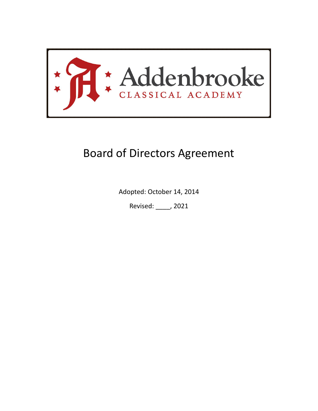

# Board of Directors Agreement

Adopted: October 14, 2014

Revised: \_\_\_\_, 2021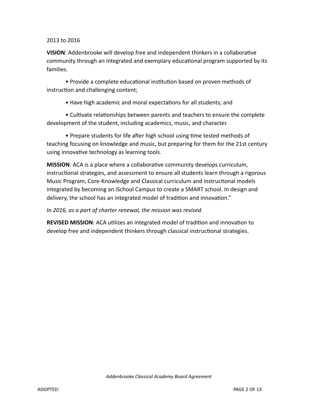#### 2013 to 2016

**VISION**: Addenbrooke will develop free and independent thinkers in a collaborative community through an integrated and exemplary educational program supported by its families.

• Provide a complete educational institution based on proven methods of instruction and challenging content;

• Have high academic and moral expectations for all students; and

• Cultivate relationships between parents and teachers to ensure the complete development of the student, including academics, music, and character.

• Prepare students for life after high school using time tested methods of teaching focusing on knowledge and music, but preparing for them for the 21st century using innovative technology as learning tools.

**MISSION**: ACA is a place where a collaborative community develops curriculum, instructional strategies, and assessment to ensure all students learn through a rigorous Music Program, Core-Knowledge and Classical curriculum and instructional models integrated by becoming an iSchool Campus to create a SMART school. In design and delivery, the school has an integrated model of tradition and innovation."

*In 2016, as a part of charter renewal, the mission was revised.*

**REVISED MISSION**: ACA utilizes an integrated model of tradition and innovation to develop free and independent thinkers through classical instructional strategies.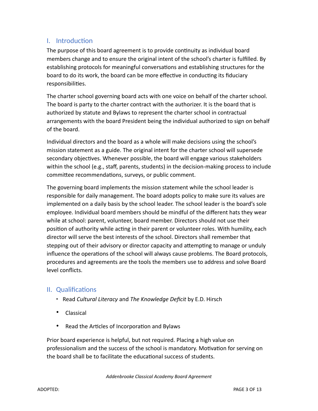# I. Introduction

The purpose of this board agreement is to provide continuity as individual board members change and to ensure the original intent of the school's charter is fulfilled. By establishing protocols for meaningful conversations and establishing structures for the board to do its work, the board can be more effective in conducting its fiduciary responsibilities.

The charter school governing board acts with one voice on behalf of the charter school. The board is party to the charter contract with the authorizer. It is the board that is authorized by statute and Bylaws to represent the charter school in contractual arrangements with the board President being the individual authorized to sign on behalf of the board.

Individual directors and the board as a whole will make decisions using the school's mission statement as a guide. The original intent for the charter school will supersede secondary objectives. Whenever possible, the board will engage various stakeholders within the school (e.g., staff, parents, students) in the decision-making process to include committee recommendations, surveys, or public comment.

The governing board implements the mission statement while the school leader is responsible for daily management. The board adopts policy to make sure its values are implemented on a daily basis by the school leader. The school leader is the board's sole employee. Individual board members should be mindful of the different hats they wear while at school: parent, volunteer, board member. Directors should not use their position of authority while acting in their parent or volunteer roles. With humility, each director will serve the best interests of the school. Directors shall remember that stepping out of their advisory or director capacity and attempting to manage or unduly influence the operations of the school will always cause problems. The Board protocols, procedures and agreements are the tools the members use to address and solve Board level conflicts.

## II. Qualifications

- Read *Cultural Literacy* and *The Knowledge Deficit* by E.D. Hirsch
- Classical
- Read the Articles of Incorporation and Bylaws

Prior board experience is helpful, but not required. Placing a high value on professionalism and the success of the school is mandatory. Motivation for serving on the board shall be to facilitate the educational success of students.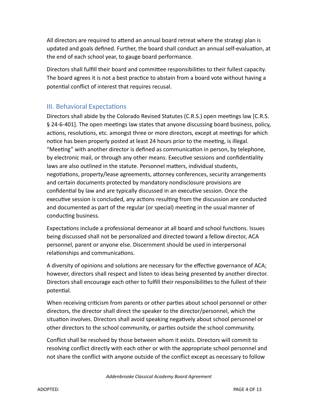All directors are required to attend an annual board retreat where the strategi plan is updated and goals defined. Further, the board shall conduct an annual self-evaluation, at the end of each school year, to gauge board performance.

Directors shall fulfill their board and committee responsibilities to their fullest capacity. The board agrees it is not a best practice to abstain from a board vote without having a potential conflict of interest that requires recusal.

# III. Behavioral Expectations

Directors shall abide by the Colorado Revised Statutes (C.R.S.) open meetings law [C.R.S. § 24-6-401]. The open meetings law states that anyone discussing board business, policy, actions, resolutions, etc. amongst three or more directors, except at meetings for which notice has been properly posted at least 24 hours prior to the meeting, is illegal. "Meeting" with another director is defined as communication in person, by telephone, by electronic mail, or through any other means. Executive sessions and confidentiality laws are also outlined in the statute. Personnel matters, individual students, negotiations, property/lease agreements, attorney conferences, security arrangements and certain documents protected by mandatory nondisclosure provisions are confidential by law and are typically discussed in an executive session. Once the executive session is concluded, any actions resulting from the discussion are conducted and documented as part of the regular (or special) meeting in the usual manner of conducting business.

Expectations include a professional demeanor at all board and school functions. Issues being discussed shall not be personalized and directed toward a fellow director, ACA personnel, parent or anyone else. Discernment should be used in interpersonal relationships and communications.

A diversity of opinions and solutions are necessary for the effective governance of ACA; however, directors shall respect and listen to ideas being presented by another director. Directors shall encourage each other to fulfill their responsibilities to the fullest of their potential.

When receiving criticism from parents or other parties about school personnel or other directors, the director shall direct the speaker to the director/personnel, which the situation involves. Directors shall avoid speaking negatively about school personnel or other directors to the school community, or parties outside the school community.

Conflict shall be resolved by those between whom it exists. Directors will commit to resolving conflict directly with each other or with the appropriate school personnel and not share the conflict with anyone outside of the conflict except as necessary to follow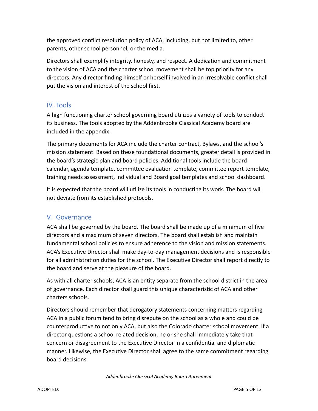the approved conflict resolution policy of ACA, including, but not limited to, other parents, other school personnel, or the media.

Directors shall exemplify integrity, honesty, and respect. A dedication and commitment to the vision of ACA and the charter school movement shall be top priority for any directors. Any director finding himself or herself involved in an irresolvable conflict shall put the vision and interest of the school first.

# IV. Tools

A high functioning charter school governing board utilizes a variety of tools to conduct its business. The tools adopted by the Addenbrooke Classical Academy board are included in the appendix.

The primary documents for ACA include the charter contract, Bylaws, and the school's mission statement. Based on these foundational documents, greater detail is provided in the board's strategic plan and board policies. Additional tools include the board calendar, agenda template, committee evaluation template, committee report template, training needs assessment, individual and Board goal templates and school dashboard.

It is expected that the board will utilize its tools in conducting its work. The board will not deviate from its established protocols.

## V. Governance

ACA shall be governed by the board. The board shall be made up of a minimum of five directors and a maximum of seven directors. The board shall establish and maintain fundamental school policies to ensure adherence to the vision and mission statements. ACA's Executive Director shall make day-to-day management decisions and is responsible for all administration duties for the school. The Executive Director shall report directly to the board and serve at the pleasure of the board.

As with all charter schools, ACA is an entity separate from the school district in the area of governance. Each director shall guard this unique characteristic of ACA and other charters schools.

Directors should remember that derogatory statements concerning matters regarding ACA in a public forum tend to bring disrepute on the school as a whole and could be counterproductive to not only ACA, but also the Colorado charter school movement. If a director questions a school related decision, he or she shall immediately take that concern or disagreement to the Executive Director in a confidential and diplomatic manner. Likewise, the Executive Director shall agree to the same commitment regarding board decisions.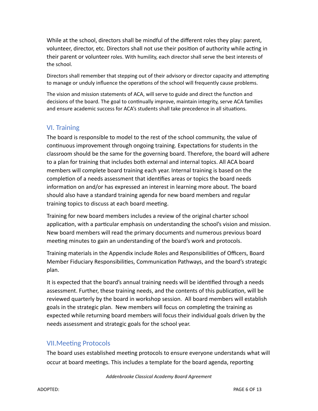While at the school, directors shall be mindful of the different roles they play: parent, volunteer, director, etc. Directors shall not use their position of authority while acting in their parent or volunteer roles. With humility, each director shall serve the best interests of the school.

Directors shall remember that stepping out of their advisory or director capacity and attempting to manage or unduly influence the operations of the school will frequently cause problems.

The vision and mission statements of ACA, will serve to guide and direct the function and decisions of the board. The goal to continually improve, maintain integrity, serve ACA families and ensure academic success for ACA's students shall take precedence in all situations.

# VI. Training

The board is responsible to model to the rest of the school community, the value of continuous improvement through ongoing training. Expectations for students in the classroom should be the same for the governing board. Therefore, the board will adhere to a plan for training that includes both external and internal topics. All ACA board members will complete board training each year. Internal training is based on the completion of a needs assessment that identifies areas or topics the board needs information on and/or has expressed an interest in learning more about. The board should also have a standard training agenda for new board members and regular training topics to discuss at each board meeting.

Training for new board members includes a review of the original charter school application, with a particular emphasis on understanding the school's vision and mission. New board members will read the primary documents and numerous previous board meeting minutes to gain an understanding of the board's work and protocols.

Training materials in the Appendix include Roles and Responsibilities of Officers, Board Member Fiduciary Responsibilities, Communication Pathways, and the board's strategic plan.

It is expected that the board's annual training needs will be identified through a needs assessment. Further, these training needs, and the contents of this publication, will be reviewed quarterly by the board in workshop session. All board members will establish goals in the strategic plan. New members will focus on completing the training as expected while returning board members will focus their individual goals driven by the needs assessment and strategic goals for the school year.

## VII.Meeting Protocols

The board uses established meeting protocols to ensure everyone understands what will occur at board meetings. This includes a template for the board agenda, reporting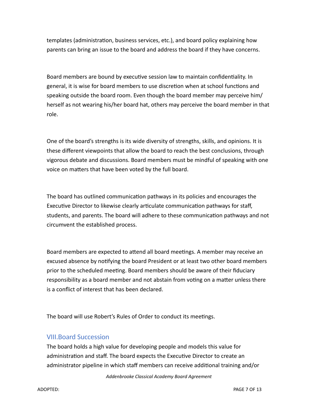templates (administration, business services, etc.), and board policy explaining how parents can bring an issue to the board and address the board if they have concerns.

Board members are bound by executive session law to maintain confidentiality. In general, it is wise for board members to use discretion when at school functions and speaking outside the board room. Even though the board member may perceive him/ herself as not wearing his/her board hat, others may perceive the board member in that role.

One of the board's strengths is its wide diversity of strengths, skills, and opinions. It is these different viewpoints that allow the board to reach the best conclusions, through vigorous debate and discussions. Board members must be mindful of speaking with one voice on matters that have been voted by the full board.

The board has outlined communication pathways in its policies and encourages the Executive Director to likewise clearly articulate communication pathways for staff, students, and parents. The board will adhere to these communication pathways and not circumvent the established process.

Board members are expected to attend all board meetings. A member may receive an excused absence by notifying the board President or at least two other board members prior to the scheduled meeting. Board members should be aware of their fiduciary responsibility as a board member and not abstain from voting on a matter unless there is a conflict of interest that has been declared.

The board will use Robert's Rules of Order to conduct its meetings.

#### VIII.Board Succession

The board holds a high value for developing people and models this value for administration and staff. The board expects the Executive Director to create an administrator pipeline in which staff members can receive additional training and/or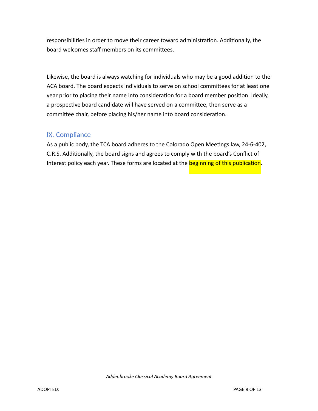responsibilities in order to move their career toward administration. Additionally, the board welcomes staff members on its committees.

Likewise, the board is always watching for individuals who may be a good addition to the ACA board. The board expects individuals to serve on school committees for at least one year prior to placing their name into consideration for a board member position. Ideally, a prospective board candidate will have served on a committee, then serve as a committee chair, before placing his/her name into board consideration.

## IX. Compliance

As a public body, the TCA board adheres to the Colorado Open Meetings law, 24-6-402, C.R.S. Additionally, the board signs and agrees to comply with the board's Conflict of Interest policy each year. These forms are located at the **beginning of this publication**.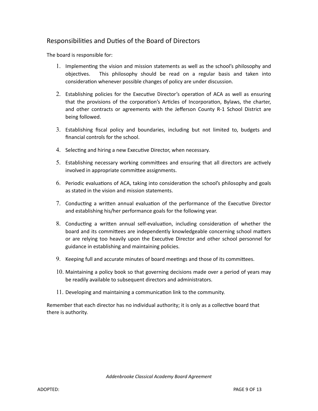#### Responsibilities and Duties of the Board of Directors

The board is responsible for:

- 1. Implementing the vision and mission statements as well as the school's philosophy and objectives. This philosophy should be read on a regular basis and taken into consideration whenever possible changes of policy are under discussion.
- 2. Establishing policies for the Executive Director's operation of ACA as well as ensuring that the provisions of the corporation's Articles of Incorporation, Bylaws, the charter, and other contracts or agreements with the Jefferson County R-1 School District are being followed.
- 3. Establishing fiscal policy and boundaries, including but not limited to, budgets and financial controls for the school.
- 4. Selecting and hiring a new Executive Director, when necessary.
- 5. Establishing necessary working committees and ensuring that all directors are actively involved in appropriate committee assignments.
- 6. Periodic evaluations of ACA, taking into consideration the school's philosophy and goals as stated in the vision and mission statements.
- 7. Conducting a written annual evaluation of the performance of the Executive Director and establishing his/her performance goals for the following year.
- 8. Conducting a written annual self-evaluation, including consideration of whether the board and its committees are independently knowledgeable concerning school matters or are relying too heavily upon the Executive Director and other school personnel for guidance in establishing and maintaining policies.
- 9. Keeping full and accurate minutes of board meetings and those of its committees.
- 10. Maintaining a policy book so that governing decisions made over a period of years may be readily available to subsequent directors and administrators.
- 11. Developing and maintaining a communication link to the community.

Remember that each director has no individual authority; it is only as a collective board that there is authority.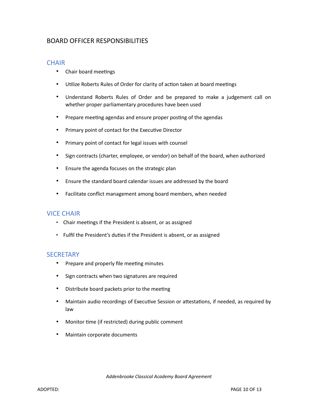#### BOARD OFFICER RESPONSIBILITIES

#### **CHAIR**

- Chair board meetings
- Utilize Roberts Rules of Order for clarity of action taken at board meetings
- Understand Roberts Rules of Order and be prepared to make a judgement call on whether proper parliamentary procedures have been used
- Prepare meeting agendas and ensure proper posting of the agendas
- Primary point of contact for the Executive Director
- Primary point of contact for legal issues with counsel
- Sign contracts (charter, employee, or vendor) on behalf of the board, when authorized
- Ensure the agenda focuses on the strategic plan
- Ensure the standard board calendar issues are addressed by the board
- Facilitate conflict management among board members, when needed

#### VICE CHAIR

- Chair meetings if the President is absent, or as assigned
- Fulfil the President's duties if the President is absent, or as assigned

#### **SECRETARY**

- Prepare and properly file meeting minutes
- Sign contracts when two signatures are required
- Distribute board packets prior to the meeting
- Maintain audio recordings of Executive Session or attestations, if needed, as required by law
- Monitor time (if restricted) during public comment
- Maintain corporate documents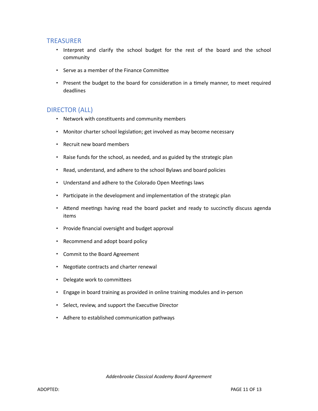#### TREASURER

- Interpret and clarify the school budget for the rest of the board and the school community
- Serve as a member of the Finance Committee
- Present the budget to the board for consideration in a timely manner, to meet required deadlines

#### DIRECTOR (ALL)

- Network with constituents and community members
- Monitor charter school legislation; get involved as may become necessary
- Recruit new board members
- Raise funds for the school, as needed, and as guided by the strategic plan
- Read, understand, and adhere to the school Bylaws and board policies
- Understand and adhere to the Colorado Open Meetings laws
- Participate in the development and implementation of the strategic plan
- Attend meetings having read the board packet and ready to succinctly discuss agenda items
- Provide financial oversight and budget approval
- Recommend and adopt board policy
- Commit to the Board Agreement
- Negotiate contracts and charter renewal
- Delegate work to committees
- Engage in board training as provided in online training modules and in-person
- Select, review, and support the Executive Director
- Adhere to established communication pathways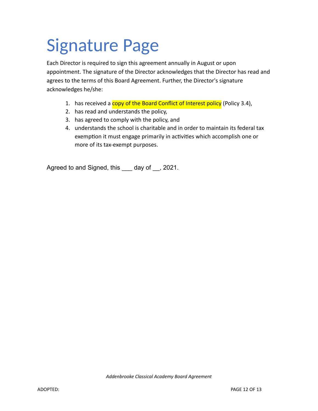# Signature Page

Each Director is required to sign this agreement annually in August or upon appointment. The signature of the Director acknowledges that the Director has read and agrees to the terms of this Board Agreement. Further, the Director's signature acknowledges he/she:

- 1. has received a copy of the Board Conflict of Interest policy (Policy 3.4),
- 2. has read and understands the policy,
- 3. has agreed to comply with the policy, and
- 4. understands the school is charitable and in order to maintain its federal tax exemption it must engage primarily in activities which accomplish one or more of its tax-exempt purposes.

Agreed to and Signed, this \_\_\_ day of \_\_, 2021.